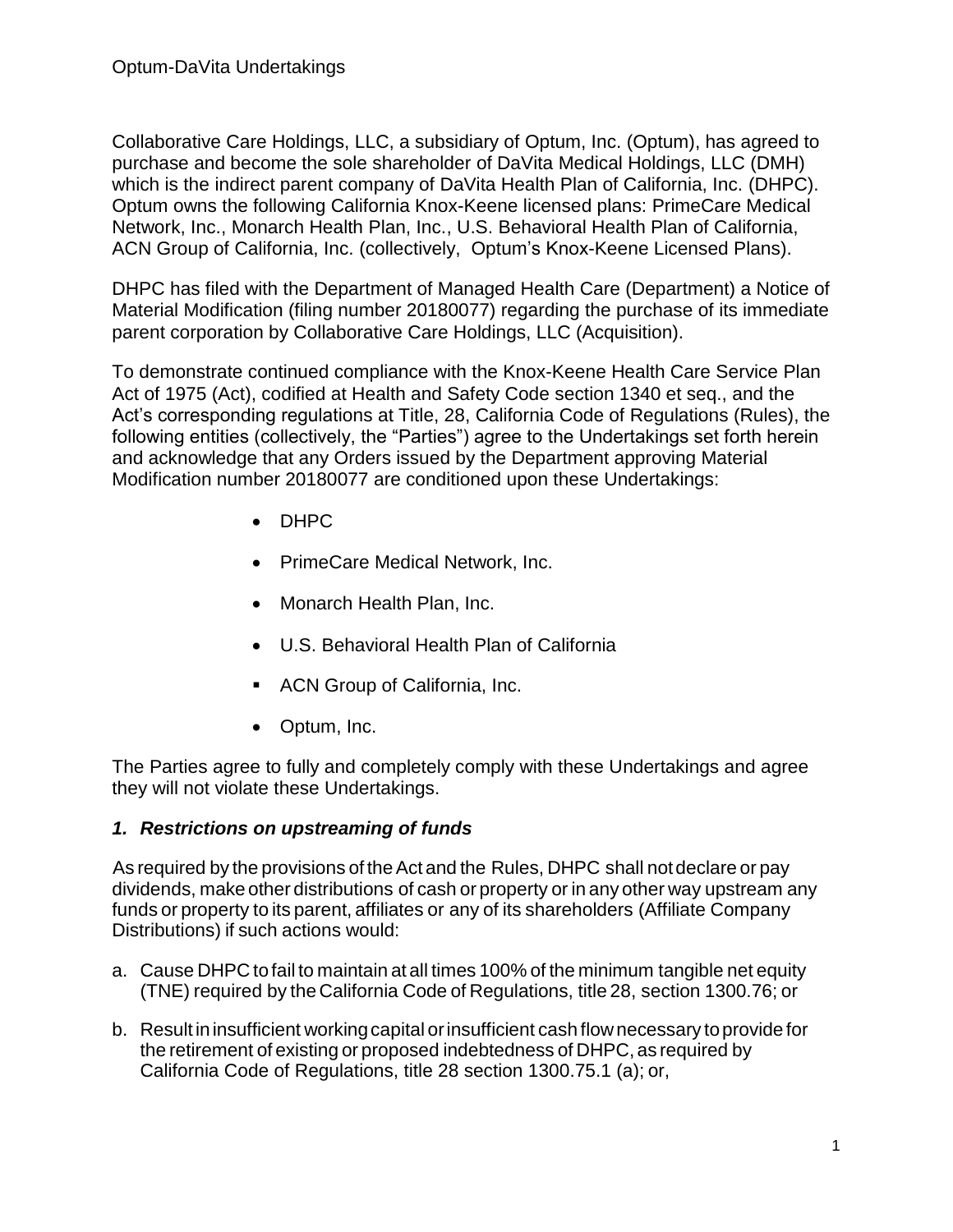Collaborative Care Holdings, LLC, a subsidiary of Optum, Inc. (Optum), has agreed to purchase and become the sole shareholder of DaVita Medical Holdings, LLC (DMH) which is the indirect parent company of DaVita Health Plan of California, Inc. (DHPC). Optum owns the following California Knox-Keene licensed plans: PrimeCare Medical Network, Inc., Monarch Health Plan, Inc., U.S. Behavioral Health Plan of California, ACN Group of California, Inc. (collectively, Optum's Knox-Keene Licensed Plans).

DHPC has filed with the Department of Managed Health Care (Department) a Notice of Material Modification (filing number 20180077) regarding the purchase of its immediate parent corporation by Collaborative Care Holdings, LLC (Acquisition).

To demonstrate continued compliance with the Knox-Keene Health Care Service Plan Act of 1975 (Act), codified at Health and Safety Code section 1340 et seq., and the Act's corresponding regulations at Title, 28, California Code of Regulations (Rules), the following entities (collectively, the "Parties") agree to the Undertakings set forth herein and acknowledge that any Orders issued by the Department approving Material Modification number 20180077 are conditioned upon these Undertakings:

- DHPC
- PrimeCare Medical Network, Inc.
- Monarch Health Plan, Inc.
- U.S. Behavioral Health Plan of California
- ACN Group of California, Inc.
- Optum, Inc.

The Parties agree to fully and completely comply with these Undertakings and agree they will not violate these Undertakings.

## *1. Restrictions on upstreaming of funds*

As required by the provisions of the Act and the Rules, DHPC shall not declare or pay dividends, make other distributions of cash or property or in any other way upstream any funds or property to its parent, affiliates or any of its shareholders (Affiliate Company Distributions) if such actions would:

- a. Cause DHPC tofail to maintain at all times 100% of the minimum tangible net equity (TNE) required by the California Code of Regulations, title 28, section 1300.76; or
- b. Result ininsufficient workingcapital orinsufficient cash flownecessary toprovide for the retirement of existing or proposed indebtedness of DHPC, as required by California Code of Regulations, title 28 section 1300.75.1 (a); or,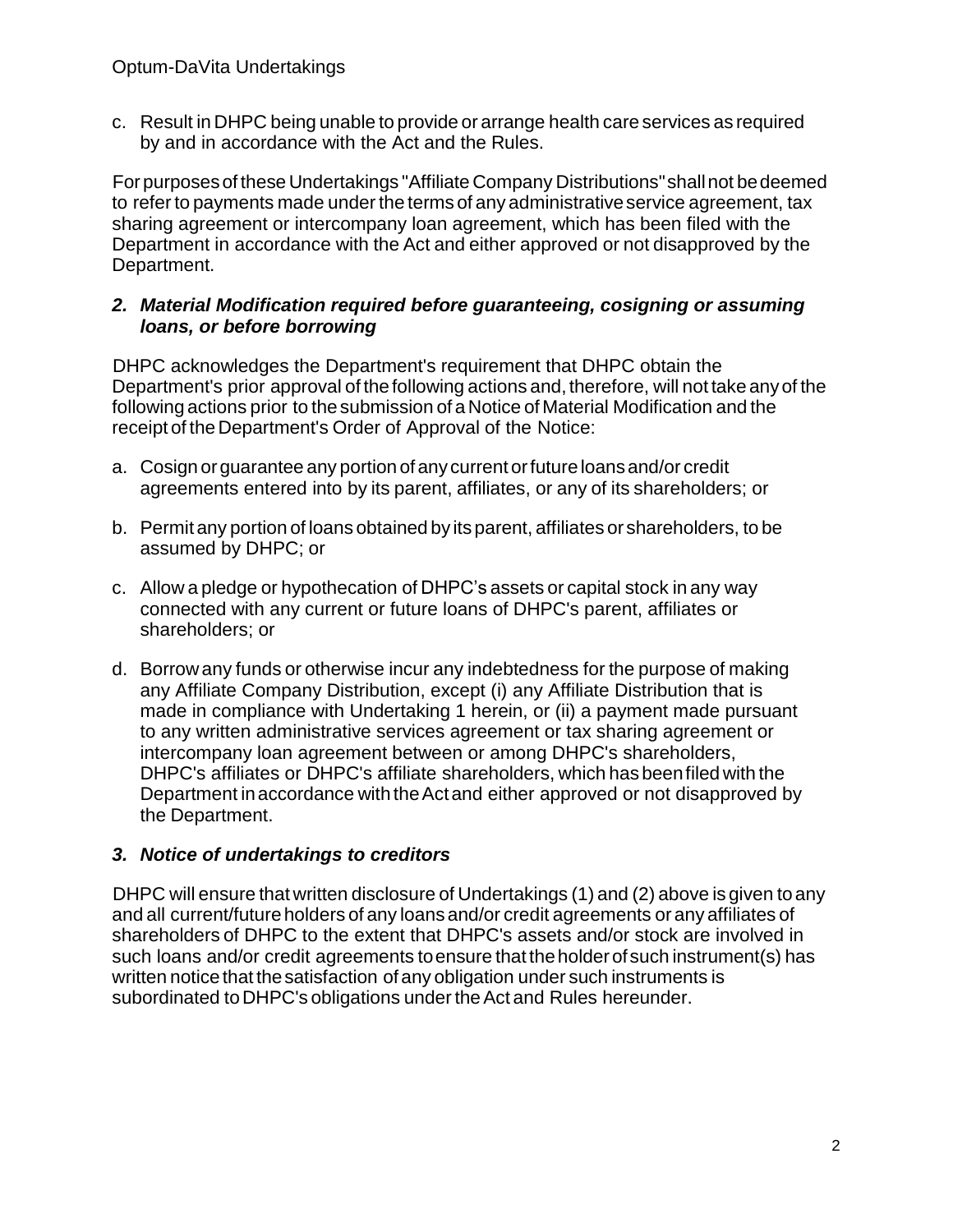c. Result in DHPC being unable to provide or arrange health care services as required by and in accordance with the Act and the Rules.

Forpurposesof these Undertakings "Affiliate Company Distributions"shallnot bedeemed to referto payments made under the terms of any administrativeservice agreement, tax sharing agreement or intercompany loan agreement, which has been filed with the Department in accordance with the Act and either approved or not disapproved by the Department.

#### *2. Material Modification required before guaranteeing, cosigning or assuming loans, or before borrowing*

DHPC acknowledges the Department's requirement that DHPC obtain the Department's prior approval of thefollowing actions and, therefore, will not take anyof the following actions prior to the submission of aNotice of Material Modification and the receipt of the Department's Order of Approval of the Notice:

- a. Cosign orguarantee any portion of anycurrent orfuture loansand/or credit agreements entered into by its parent, affiliates, or any of its shareholders; or
- b. Permit any portion of loans obtained by its parent, affiliates or shareholders, to be assumed by DHPC; or
- c. Allow a pledge or hypothecation of DHPC's assets or capital stock in any way connected with any current or future loans of DHPC's parent, affiliates or shareholders; or
- d. Borrowany funds or otherwise incur any indebtedness for the purpose of making any Affiliate Company Distribution, except (i) any Affiliate Distribution that is made in compliance with Undertaking 1 herein, or (ii) a payment made pursuant to any written administrative services agreement or tax sharing agreement or intercompany loan agreement between or among DHPC's shareholders, DHPC's affiliates or DHPC's affiliate shareholders, which hasbeenfiled with the Department inaccordance with theActand either approved or not disapproved by the Department.

## *3. Notice of undertakings to creditors*

DHPC will ensure that written disclosure of Undertakings (1) and (2) above is given toany and all current/future holders of any loans and/or credit agreements orany affiliates of shareholders of DHPC to the extent that DHPC's assets and/or stock are involved in such loans and/or credit agreements to ensure that the holder of such instrument(s) has written notice that the satisfaction of any obligation under such instruments is subordinated to DHPC's obligations under the Act and Rules hereunder.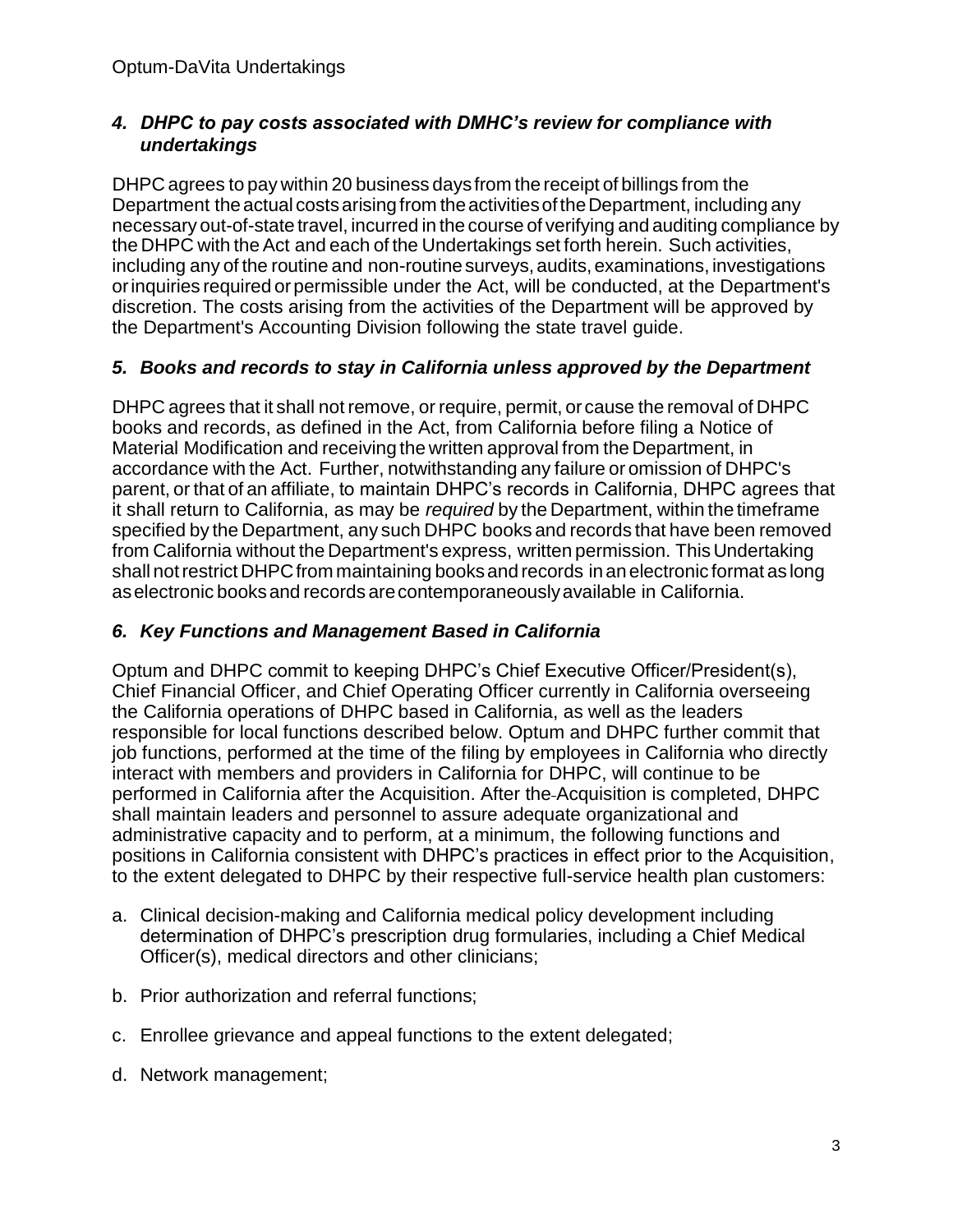## *4. DHPC to pay costs associated with DMHC's review for compliance with undertakings*

DHPC agrees to pay within 20 business days from the receipt of billings from the Department the actual costs arising from the activities of the Department, including any necessary out-of-state travel, incurred in the course of verifying and auditing compliance by the DHPC with theAct and each of the Undertakings set forth herein. Such activities, including any of the routine and non-routinesurveys,audits,examinations, investigations orinquiries required orpermissible under the Act, will be conducted, at the Department's discretion. The costs arising from the activities of the Department will be approved by the Department's Accounting Division following the state travel guide.

## *5. Books and records to stay in California unless approved by the Department*

DHPC agrees that it shall not remove, or require, permit, or cause the removal of DHPC books and records, as defined in the Act, from California before filing a Notice of Material Modification and receiving the written approval from the Department, in accordance with the Act. Further, notwithstanding any failure or omission of DHPC's parent, or that of an affiliate, to maintain DHPC's records in California, DHPC agrees that it shall return to California, as may be *required* by the Department, within the timeframe specified by the Department, any such DHPC books and records that have been removed from California without the Department's express, written permission. ThisUndertaking shall notrestrict DHPCfrom maintaining booksand records inanelectronic format as long aselectronic booksand records arecontemporaneouslyavailable in California.

## *6. Key Functions and Management Based in California*

Optum and DHPC commit to keeping DHPC's Chief Executive Officer/President(s), Chief Financial Officer, and Chief Operating Officer currently in California overseeing the California operations of DHPC based in California, as well as the leaders responsible for local functions described below. Optum and DHPC further commit that job functions, performed at the time of the filing by employees in California who directly interact with members and providers in California for DHPC, will continue to be performed in California after the Acquisition. After the Acquisition is completed, DHPC shall maintain leaders and personnel to assure adequate organizational and administrative capacity and to perform, at a minimum, the following functions and positions in California consistent with DHPC's practices in effect prior to the Acquisition, to the extent delegated to DHPC by their respective full-service health plan customers:

- a. Clinical decision-making and California medical policy development including determination of DHPC's prescription drug formularies, including a Chief Medical Officer(s), medical directors and other clinicians;
- b. Prior authorization and referral functions;
- c. Enrollee grievance and appeal functions to the extent delegated;
- d. Network management;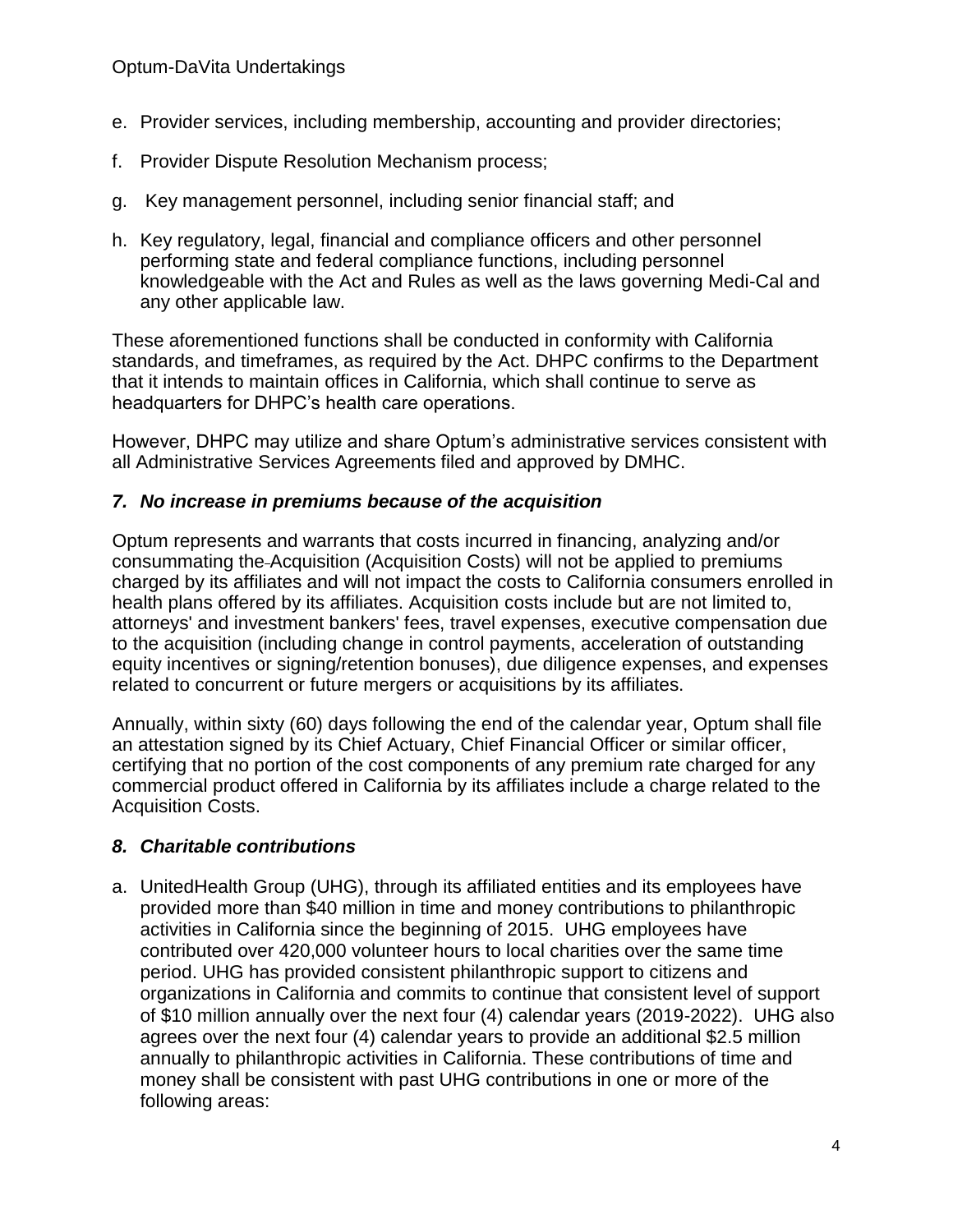- e. Provider services, including membership, accounting and provider directories;
- f. Provider Dispute Resolution Mechanism process;
- g. Key management personnel, including senior financial staff; and
- h. Key regulatory, legal, financial and compliance officers and other personnel performing state and federal compliance functions, including personnel knowledgeable with the Act and Rules as well as the laws governing Medi-Cal and any other applicable law.

These aforementioned functions shall be conducted in conformity with California standards, and timeframes, as required by the Act. DHPC confirms to the Department that it intends to maintain offices in California, which shall continue to serve as headquarters for DHPC's health care operations.

However, DHPC may utilize and share Optum's administrative services consistent with all Administrative Services Agreements filed and approved by DMHC.

#### *7. No increase in premiums because of the acquisition*

Optum represents and warrants that costs incurred in financing, analyzing and/or consummating the Acquisition (Acquisition Costs) will not be applied to premiums charged by its affiliates and will not impact the costs to California consumers enrolled in health plans offered by its affiliates. Acquisition costs include but are not limited to, attorneys' and investment bankers' fees, travel expenses, executive compensation due to the acquisition (including change in control payments, acceleration of outstanding equity incentives or signing/retention bonuses), due diligence expenses, and expenses related to concurrent or future mergers or acquisitions by its affiliates.

Annually, within sixty (60) days following the end of the calendar year, Optum shall file an attestation signed by its Chief Actuary, Chief Financial Officer or similar officer, certifying that no portion of the cost components of any premium rate charged for any commercial product offered in California by its affiliates include a charge related to the Acquisition Costs.

## *8. Charitable contributions*

a. UnitedHealth Group (UHG), through its affiliated entities and its employees have provided more than \$40 million in time and money contributions to philanthropic activities in California since the beginning of 2015. UHG employees have contributed over 420,000 volunteer hours to local charities over the same time period. UHG has provided consistent philanthropic support to citizens and organizations in California and commits to continue that consistent level of support of \$10 million annually over the next four (4) calendar years (2019-2022). UHG also agrees over the next four (4) calendar years to provide an additional \$2.5 million annually to philanthropic activities in California. These contributions of time and money shall be consistent with past UHG contributions in one or more of the following areas: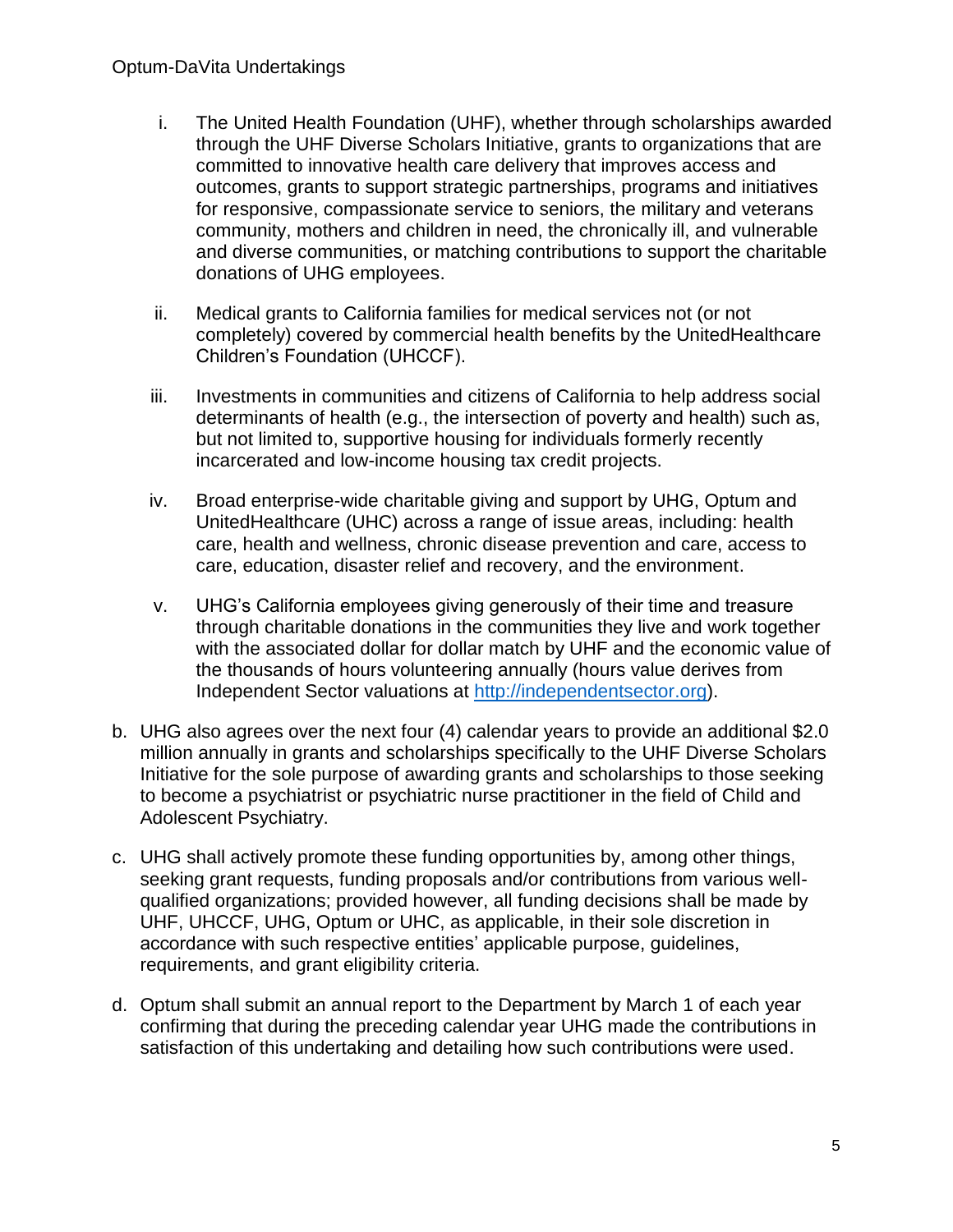#### Optum-DaVita Undertakings

- i. The United Health Foundation (UHF), whether through scholarships awarded through the UHF Diverse Scholars Initiative, grants to organizations that are committed to innovative health care delivery that improves access and outcomes, grants to support strategic partnerships, programs and initiatives for responsive, compassionate service to seniors, the military and veterans community, mothers and children in need, the chronically ill, and vulnerable and diverse communities, or matching contributions to support the charitable donations of UHG employees.
- ii. Medical grants to California families for medical services not (or not completely) covered by commercial health benefits by the UnitedHealthcare Children's Foundation (UHCCF).
- iii. Investments in communities and citizens of California to help address social determinants of health (e.g., the intersection of poverty and health) such as, but not limited to, supportive housing for individuals formerly recently incarcerated and low-income housing tax credit projects.
- iv. Broad enterprise-wide charitable giving and support by UHG, Optum and UnitedHealthcare (UHC) across a range of issue areas, including: health care, health and wellness, chronic disease prevention and care, access to care, education, disaster relief and recovery, and the environment.
- v. UHG's California employees giving generously of their time and treasure through charitable donations in the communities they live and work together with the associated dollar for dollar match by UHF and the economic value of the thousands of hours volunteering annually (hours value derives from Independent Sector valuations at [http://independentsector.org\)](http://independentsector.org/).
- b. UHG also agrees over the next four (4) calendar years to provide an additional \$2.0 million annually in grants and scholarships specifically to the UHF Diverse Scholars Initiative for the sole purpose of awarding grants and scholarships to those seeking to become a psychiatrist or psychiatric nurse practitioner in the field of Child and Adolescent Psychiatry.
- c. UHG shall actively promote these funding opportunities by, among other things, seeking grant requests, funding proposals and/or contributions from various wellqualified organizations; provided however, all funding decisions shall be made by UHF, UHCCF, UHG, Optum or UHC, as applicable, in their sole discretion in accordance with such respective entities' applicable purpose, guidelines, requirements, and grant eligibility criteria.
- d. Optum shall submit an annual report to the Department by March 1 of each year confirming that during the preceding calendar year UHG made the contributions in satisfaction of this undertaking and detailing how such contributions were used.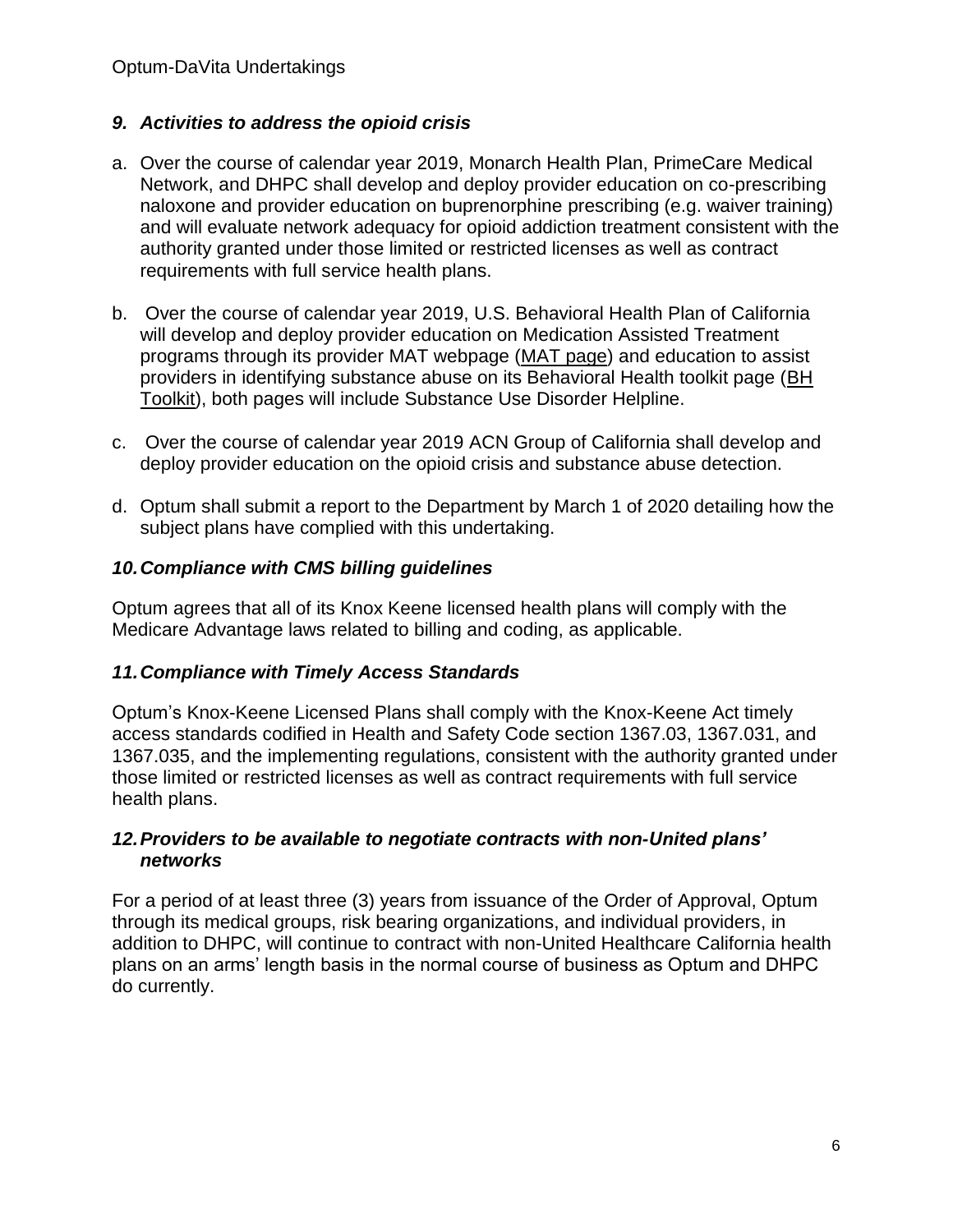## *9. Activities to address the opioid crisis*

- a. Over the course of calendar year 2019, Monarch Health Plan, PrimeCare Medical Network, and DHPC shall develop and deploy provider education on co-prescribing naloxone and provider education on buprenorphine prescribing (e.g. waiver training) and will evaluate network adequacy for opioid addiction treatment consistent with the authority granted under those limited or restricted licenses as well as contract requirements with full service health plans.
- b. Over the course of calendar year 2019, U.S. Behavioral Health Plan of California will develop and deploy provider education on Medication Assisted Treatment programs through its provider MAT webpage [\(MAT page\)](https://urldefense.proofpoint.com/v2/url?u=https-3A__www.providerexpress.com_content_ope-2Dprovexpr_us_en_clinical-2Dresources_mat.html&d=DwMFAg&c=euGZstcaTDllvimEN8b7jXrwqOf-v5A_CdpgnVfiiMM&r=VczuXo83xsg6__Ca-7yoQYb222kCi6Psz1iddVOv4eE&m=_vmtYnJK5DiRLJf0wSvGOQAXQ2UL8rR9YOM4J31dfiA&s=AwAqg3ukhd69G8fr3YjjgZsYns5yGIA7_NRDUJnujOM&e=) and education to assist providers in identifying substance abuse on its Behavioral Health toolkit page [\(BH](https://urldefense.proofpoint.com/v2/url?u=https-3A__www.providerexpress.com_content_ope-2Dprovexpr_us_en_clinical-2Dresources_PCP-2DTool-2DKit.html&d=DwMFAg&c=euGZstcaTDllvimEN8b7jXrwqOf-v5A_CdpgnVfiiMM&r=VczuXo83xsg6__Ca-7yoQYb222kCi6Psz1iddVOv4eE&m=_vmtYnJK5DiRLJf0wSvGOQAXQ2UL8rR9YOM4J31dfiA&s=Zj96YWhk-2iGHLfXwQFLmaZiTCUZJWYsNqnKxc6_QJQ&e=)  [Toolkit\)](https://urldefense.proofpoint.com/v2/url?u=https-3A__www.providerexpress.com_content_ope-2Dprovexpr_us_en_clinical-2Dresources_PCP-2DTool-2DKit.html&d=DwMFAg&c=euGZstcaTDllvimEN8b7jXrwqOf-v5A_CdpgnVfiiMM&r=VczuXo83xsg6__Ca-7yoQYb222kCi6Psz1iddVOv4eE&m=_vmtYnJK5DiRLJf0wSvGOQAXQ2UL8rR9YOM4J31dfiA&s=Zj96YWhk-2iGHLfXwQFLmaZiTCUZJWYsNqnKxc6_QJQ&e=), both pages will include Substance Use Disorder Helpline.
- c. Over the course of calendar year 2019 ACN Group of California shall develop and deploy provider education on the opioid crisis and substance abuse detection.
- d. Optum shall submit a report to the Department by March 1 of 2020 detailing how the subject plans have complied with this undertaking.

# *10.Compliance with CMS billing guidelines*

Optum agrees that all of its Knox Keene licensed health plans will comply with the Medicare Advantage laws related to billing and coding, as applicable.

## *11.Compliance with Timely Access Standards*

Optum's Knox-Keene Licensed Plans shall comply with the Knox-Keene Act timely access standards codified in Health and Safety Code section 1367.03, 1367.031, and 1367.035, and the implementing regulations, consistent with the authority granted under those limited or restricted licenses as well as contract requirements with full service health plans.

#### *12.Providers to be available to negotiate contracts with non-United plans' networks*

For a period of at least three (3) years from issuance of the Order of Approval, Optum through its medical groups, risk bearing organizations, and individual providers, in addition to DHPC, will continue to contract with non-United Healthcare California health plans on an arms' length basis in the normal course of business as Optum and DHPC do currently.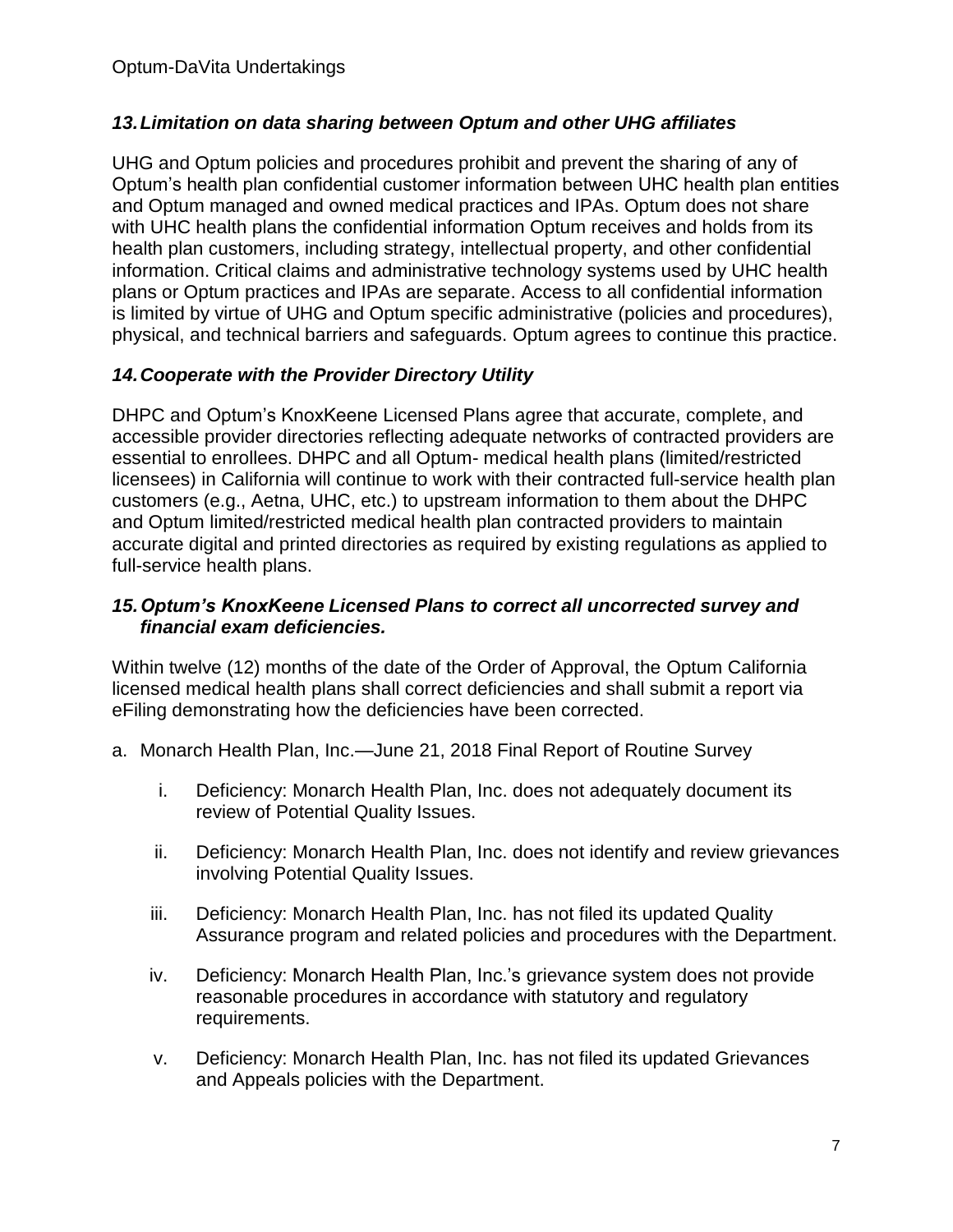# *13.Limitation on data sharing between Optum and other UHG affiliates*

UHG and Optum policies and procedures prohibit and prevent the sharing of any of Optum's health plan confidential customer information between UHC health plan entities and Optum managed and owned medical practices and IPAs. Optum does not share with UHC health plans the confidential information Optum receives and holds from its health plan customers, including strategy, intellectual property, and other confidential information. Critical claims and administrative technology systems used by UHC health plans or Optum practices and IPAs are separate. Access to all confidential information is limited by virtue of UHG and Optum specific administrative (policies and procedures), physical, and technical barriers and safeguards. Optum agrees to continue this practice.

# *14.Cooperate with the Provider Directory Utility*

DHPC and Optum's KnoxKeene Licensed Plans agree that accurate, complete, and accessible provider directories reflecting adequate networks of contracted providers are essential to enrollees. DHPC and all Optum- medical health plans (limited/restricted licensees) in California will continue to work with their contracted full-service health plan customers (e.g., Aetna, UHC, etc.) to upstream information to them about the DHPC and Optum limited/restricted medical health plan contracted providers to maintain accurate digital and printed directories as required by existing regulations as applied to full-service health plans.

#### *15.Optum's KnoxKeene Licensed Plans to correct all uncorrected survey and financial exam deficiencies.*

Within twelve (12) months of the date of the Order of Approval, the Optum California licensed medical health plans shall correct deficiencies and shall submit a report via eFiling demonstrating how the deficiencies have been corrected.

- a. Monarch Health Plan, Inc.—June 21, 2018 Final Report of Routine Survey
	- i. Deficiency: Monarch Health Plan, Inc. does not adequately document its review of Potential Quality Issues.
	- ii. Deficiency: Monarch Health Plan, Inc. does not identify and review grievances involving Potential Quality Issues.
	- iii. Deficiency: Monarch Health Plan, Inc. has not filed its updated Quality Assurance program and related policies and procedures with the Department.
	- iv. Deficiency: Monarch Health Plan, Inc.'s grievance system does not provide reasonable procedures in accordance with statutory and regulatory requirements.
	- v. Deficiency: Monarch Health Plan, Inc. has not filed its updated Grievances and Appeals policies with the Department.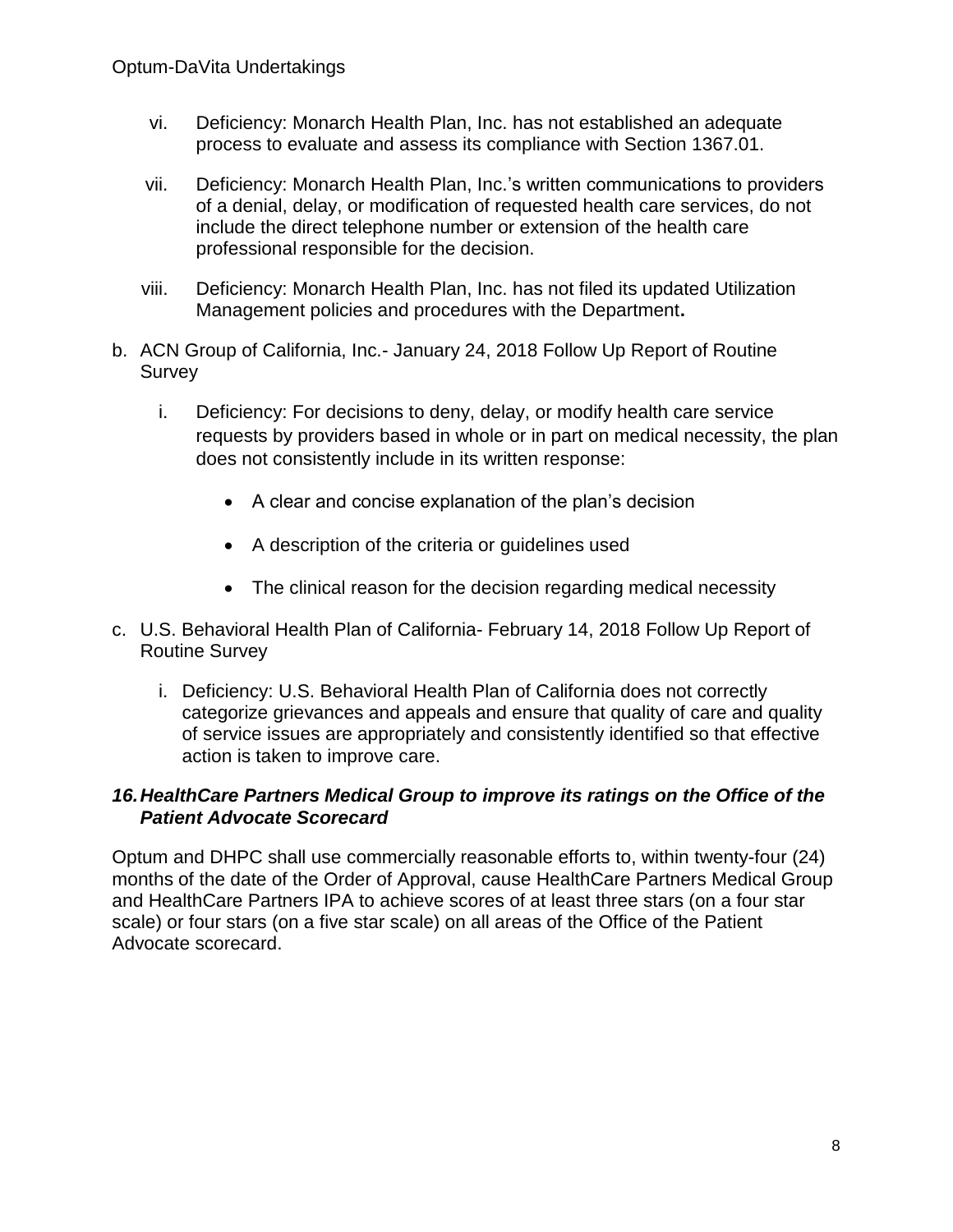- vi. Deficiency: Monarch Health Plan, Inc. has not established an adequate process to evaluate and assess its compliance with Section 1367.01.
- vii. Deficiency: Monarch Health Plan, Inc.'s written communications to providers of a denial, delay, or modification of requested health care services, do not include the direct telephone number or extension of the health care professional responsible for the decision.
- viii. Deficiency: Monarch Health Plan, Inc. has not filed its updated Utilization Management policies and procedures with the Department**.**
- b. ACN Group of California, Inc.- January 24, 2018 Follow Up Report of Routine Survey
	- i. Deficiency: For decisions to deny, delay, or modify health care service requests by providers based in whole or in part on medical necessity, the plan does not consistently include in its written response:
		- A clear and concise explanation of the plan's decision
		- A description of the criteria or guidelines used
		- The clinical reason for the decision regarding medical necessity
- c. U.S. Behavioral Health Plan of California- February 14, 2018 Follow Up Report of Routine Survey
	- i. Deficiency: U.S. Behavioral Health Plan of California does not correctly categorize grievances and appeals and ensure that quality of care and quality of service issues are appropriately and consistently identified so that effective action is taken to improve care.

## *16.HealthCare Partners Medical Group to improve its ratings on the Office of the Patient Advocate Scorecard*

Optum and DHPC shall use commercially reasonable efforts to, within twenty-four (24) months of the date of the Order of Approval, cause HealthCare Partners Medical Group and HealthCare Partners IPA to achieve scores of at least three stars (on a four star scale) or four stars (on a five star scale) on all areas of the Office of the Patient Advocate scorecard.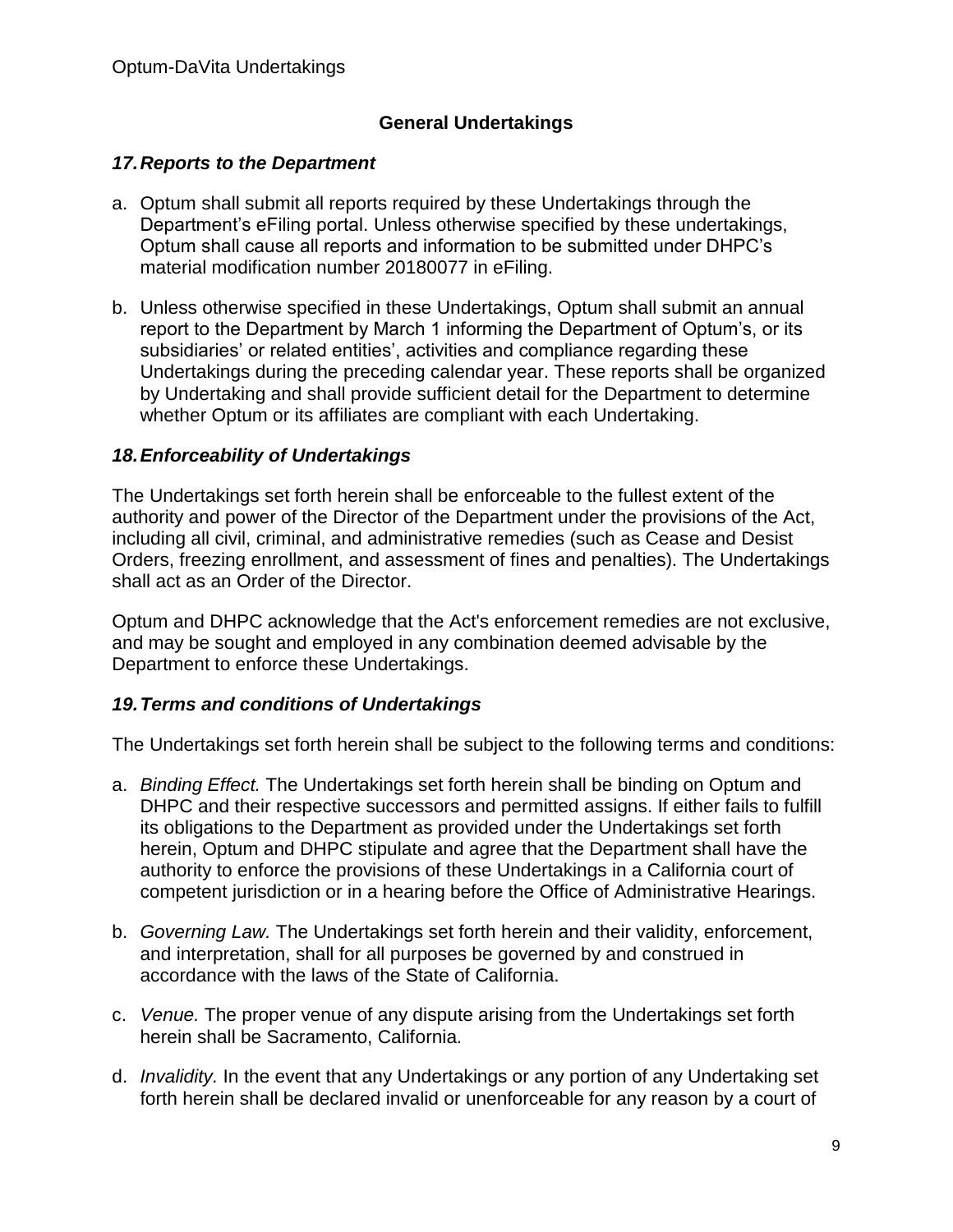# **General Undertakings**

#### *17.Reports to the Department*

- a. Optum shall submit all reports required by these Undertakings through the Department's eFiling portal. Unless otherwise specified by these undertakings, Optum shall cause all reports and information to be submitted under DHPC's material modification number 20180077 in eFiling.
- b. Unless otherwise specified in these Undertakings, Optum shall submit an annual report to the Department by March 1 informing the Department of Optum's, or its subsidiaries' or related entities', activities and compliance regarding these Undertakings during the preceding calendar year. These reports shall be organized by Undertaking and shall provide sufficient detail for the Department to determine whether Optum or its affiliates are compliant with each Undertaking.

## *18.Enforceability of Undertakings*

The Undertakings set forth herein shall be enforceable to the fullest extent of the authority and power of the Director of the Department under the provisions of the Act, including all civil, criminal, and administrative remedies (such as Cease and Desist Orders, freezing enrollment, and assessment of fines and penalties). The Undertakings shall act as an Order of the Director.

Optum and DHPC acknowledge that the Act's enforcement remedies are not exclusive, and may be sought and employed in any combination deemed advisable by the Department to enforce these Undertakings.

#### *19.Terms and conditions of Undertakings*

The Undertakings set forth herein shall be subject to the following terms and conditions:

- a. *Binding Effect.* The Undertakings set forth herein shall be binding on Optum and DHPC and their respective successors and permitted assigns. If either fails to fulfill its obligations to the Department as provided under the Undertakings set forth herein, Optum and DHPC stipulate and agree that the Department shall have the authority to enforce the provisions of these Undertakings in a California court of competent jurisdiction or in a hearing before the Office of Administrative Hearings.
- b. *Governing Law.* The Undertakings set forth herein and their validity, enforcement, and interpretation, shall for all purposes be governed by and construed in accordance with the laws of the State of California.
- c. *Venue.* The proper venue of any dispute arising from the Undertakings set forth herein shall be Sacramento, California.
- d. *Invalidity.* In the event that any Undertakings or any portion of any Undertaking set forth herein shall be declared invalid or unenforceable for any reason by a court of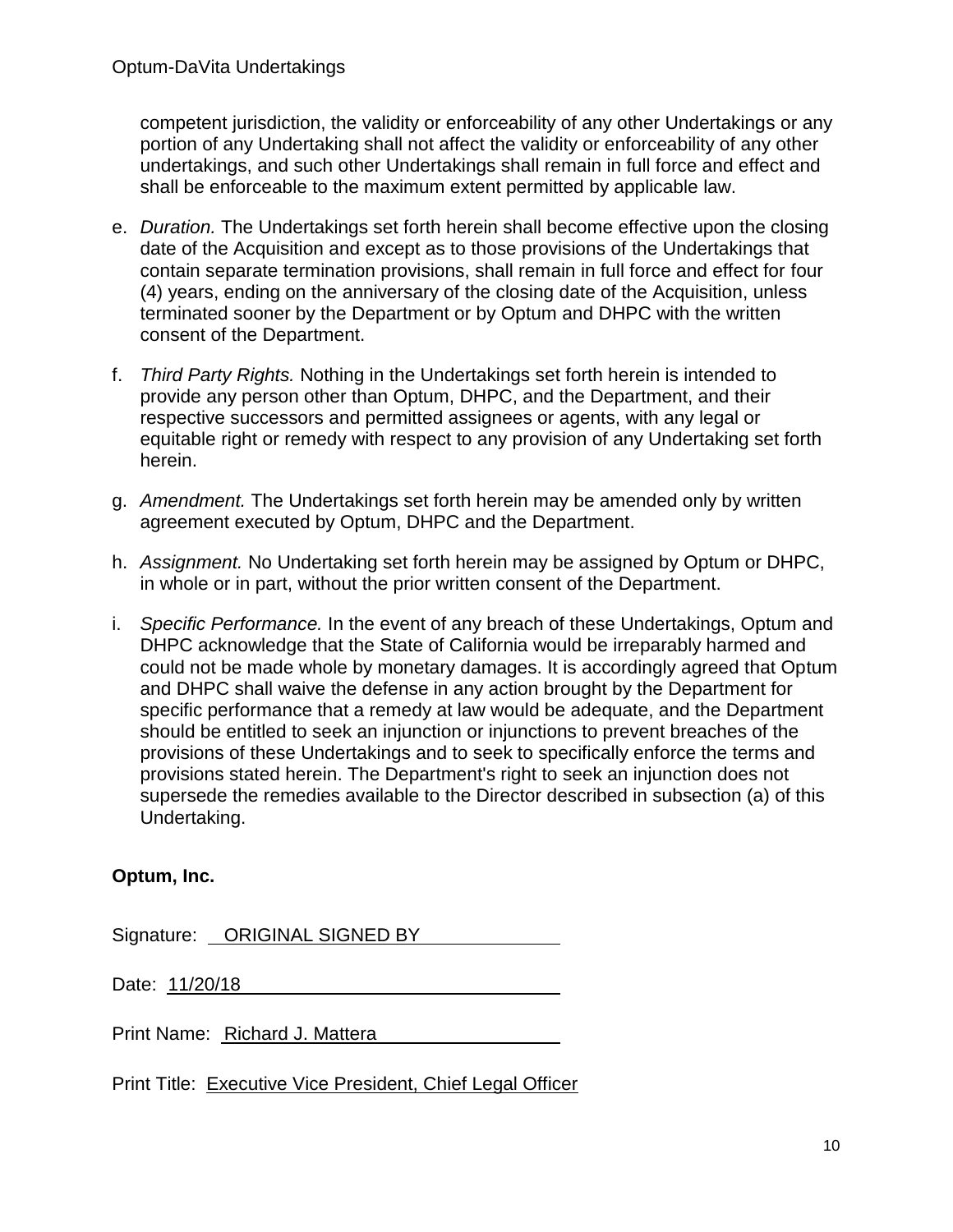competent jurisdiction, the validity or enforceability of any other Undertakings or any portion of any Undertaking shall not affect the validity or enforceability of any other undertakings, and such other Undertakings shall remain in full force and effect and shall be enforceable to the maximum extent permitted by applicable law.

- e. *Duration.* The Undertakings set forth herein shall become effective upon the closing date of the Acquisition and except as to those provisions of the Undertakings that contain separate termination provisions, shall remain in full force and effect for four (4) years, ending on the anniversary of the closing date of the Acquisition, unless terminated sooner by the Department or by Optum and DHPC with the written consent of the Department.
- f. *Third Party Rights.* Nothing in the Undertakings set forth herein is intended to provide any person other than Optum, DHPC, and the Department, and their respective successors and permitted assignees or agents, with any legal or equitable right or remedy with respect to any provision of any Undertaking set forth herein.
- g. *Amendment.* The Undertakings set forth herein may be amended only by written agreement executed by Optum, DHPC and the Department.
- h. *Assignment.* No Undertaking set forth herein may be assigned by Optum or DHPC, in whole or in part, without the prior written consent of the Department.
- i. *Specific Performance.* In the event of any breach of these Undertakings, Optum and DHPC acknowledge that the State of California would be irreparably harmed and could not be made whole by monetary damages. It is accordingly agreed that Optum and DHPC shall waive the defense in any action brought by the Department for specific performance that a remedy at law would be adequate, and the Department should be entitled to seek an injunction or injunctions to prevent breaches of the provisions of these Undertakings and to seek to specifically enforce the terms and provisions stated herein. The Department's right to seek an injunction does not supersede the remedies available to the Director described in subsection (a) of this Undertaking.

## **Optum, Inc.**

Signature: ORIGINAL SIGNED BY

Date: 11/20/18

Print Name: Richard J. Mattera

Print Title: Executive Vice President, Chief Legal Officer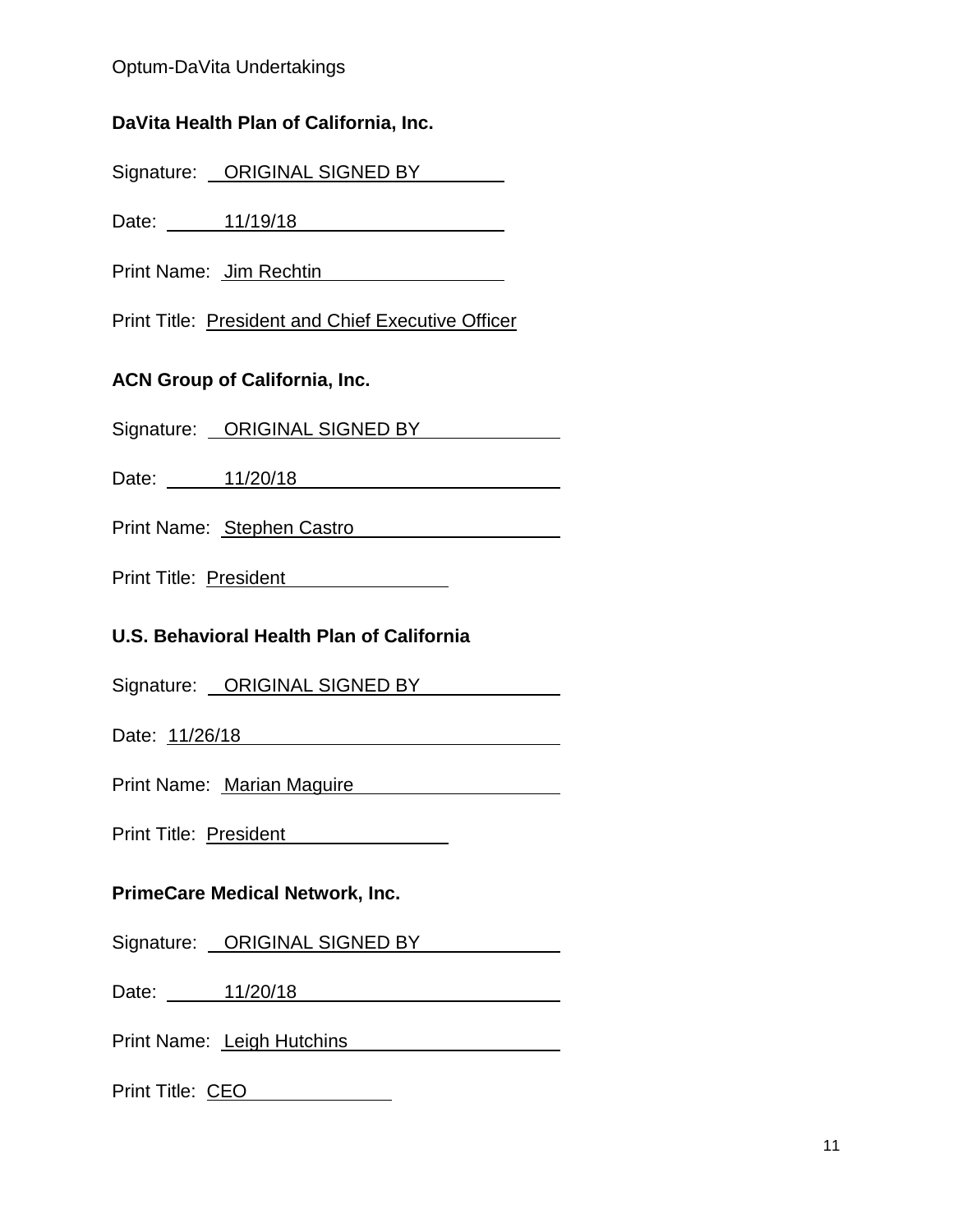#### Optum-DaVita Undertakings

## **DaVita Health Plan of California, Inc.**

Signature: ORIGINAL SIGNED BY

Date: 11/19/18

Print Name: Jim Rechtin

Print Title: President and Chief Executive Officer

## **ACN Group of California, Inc.**

Signature: ORIGINAL SIGNED BY

Date: 11/20/18

Print Name: Stephen Castro

Print Title: President

## **U.S. Behavioral Health Plan of California**

Signature: ORIGINAL SIGNED BY

Date: 11/26/18

Print Name: Marian Maguire

Print Title: President

# **PrimeCare Medical Network, Inc.**

Signature: ORIGINAL SIGNED BY

Date: 11/20/18

Print Name: Leigh Hutchins

Print Title: CEO